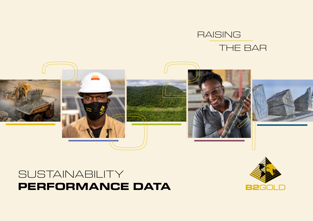# RAISING THE BAR



# SUSTAINABILITY **PERFORMANCE DATA**

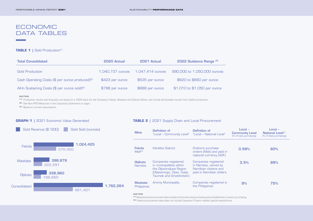## ECONOMIC DATA TABLES

#### **TABLE 1** | Gold Production<sup>[1]</sup>

| <b>Total Consolidated</b>                                   | 2020 Actual      | 2021 Actual      | 2022 Guidance Range [3]      |  |
|-------------------------------------------------------------|------------------|------------------|------------------------------|--|
| <b>Gold Production</b>                                      | 1.040.737 ounces | 1,047,414 ounces | 990,000 to 1,050,000 ounces  |  |
| Cash Operating Costs (\$ per ounce produced) <sup>[2]</sup> | \$423 per ounce  | \$535 per ounce  | \$620 to \$660 per ounce     |  |
| All-In Sustaining Costs (\$ per ounce sold) <sup>[2]</sup>  | \$788 per ounce  | \$888 per ounce  | \$1,010 to \$1,050 per ounce |  |

#### **NOTES**

**[1]** Production results and forecasts are based on a 100% basis for the Company's Fekola, Masbate and Otjikoto Mines, and include attributable ounces from Calibre production.

**[2]** See Non-IFRS Measures in the Cautionary Statement on page i.

**[3]** Based on current assumptions.

#### **GRAPH 1 |** 2021 Economic Value Generated



#### **TABLE 2** | 2021 Supply Chain and Local Procurement

| <b>Mine</b>                          | Definition of<br>"Local - Community Level" "Local - National Level"                                                                           | Definition of                                                                                            | $Local -$<br><b>Community Level</b><br>(% of total purchasing) | Local –<br><b>National Level[1]</b><br>[% of total purchasing] |
|--------------------------------------|-----------------------------------------------------------------------------------------------------------------------------------------------|----------------------------------------------------------------------------------------------------------|----------------------------------------------------------------|----------------------------------------------------------------|
| Fekola<br>Mali <sup>[2]</sup>        | Kéniéba District                                                                                                                              | Onshore purchase<br>orders (Mali) and paid in<br>national currency (XOF)                                 | 0.59%                                                          | 60%                                                            |
| <b>Otjikoto</b><br>Namibia           | Companies registered<br>in municipalities within<br>the Otjozondjupa Region<br>(Otiiwarongo, Otavi, Outio,<br><b>Tsumeb and Grootfontein)</b> | <b>Companies registered</b><br>in Namibia, owned by<br>Namibian citizens and<br>paid in Namibian dollars | 3.5%                                                           | 89%                                                            |
| <b>Masbate</b><br><b>Philippines</b> | <b>Aroroy Municipality</b>                                                                                                                    | Companies registered in<br>the Philippines                                                               | 9%                                                             | 75%                                                            |

#### **NOTES**

**[1]** National level procurement data includes Community level purchasing plus all additional in-country purchasing.

**[2]** Fekola procurement data does not include Expansion Project-related capital expenditures.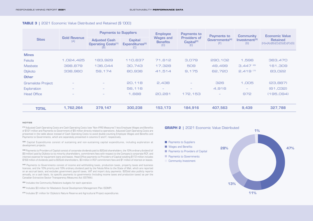#### **TABLE 3 |** 2021 Economic Value Distributed and Retained (\$ '000)

|                          | <b>Payments to Suppliers</b><br><b>Employee</b><br>Payments to<br><b>Payments to</b> |                                                          | <b>Economic Value</b>                                |                                            |                                                                                                                                                                                                                                                                        |                                                      |                          |           |
|--------------------------|--------------------------------------------------------------------------------------|----------------------------------------------------------|------------------------------------------------------|--------------------------------------------|------------------------------------------------------------------------------------------------------------------------------------------------------------------------------------------------------------------------------------------------------------------------|------------------------------------------------------|--------------------------|-----------|
| <b>Sites</b>             | <b>Gold Revenue</b><br>[A]                                                           | <b>Adjusted Cash</b><br><b>Operating Costs[1]</b><br>(B) | <b>Capital</b><br>Expenditures <sup>[2]</sup><br>(C) | <b>Wages and</b><br><b>Benefits</b><br>(D) | <b>Community</b><br><b>Providers of</b><br>Governments <sup>[4]</sup><br>Investment <sup>[5]</sup><br>Capital <sup>[3]</sup><br>(F)<br>[G]<br>(E)<br>3,079<br>290,102<br>1,596<br>$3,447$ <sup>[6]</sup><br>509<br>49,499<br>$2,419$ <sup>(7)</sup><br>9,175<br>62,720 | <b>Retained</b><br>$(H)=(A)-(B)-(C)-(D)-(E)-(F)-(G)$ |                          |           |
| <b>Mines</b>             |                                                                                      |                                                          |                                                      |                                            |                                                                                                                                                                                                                                                                        |                                                      |                          |           |
| Fekola                   | 1,024,425                                                                            | 183,929                                                  | 110,637                                              | 71,612                                     |                                                                                                                                                                                                                                                                        |                                                      |                          | 363,470   |
| <b>Masbate</b>           | 398,879                                                                              | 136,044                                                  | 30,743                                               | 17,328                                     |                                                                                                                                                                                                                                                                        |                                                      |                          | 161,309   |
| Otjikoto                 | 338,960                                                                              | 59,174                                                   | 80,936                                               | 41,514                                     |                                                                                                                                                                                                                                                                        |                                                      |                          | 83,022    |
| <b>Other</b>             |                                                                                      |                                                          |                                                      |                                            |                                                                                                                                                                                                                                                                        |                                                      |                          |           |
| <b>Gramalote Project</b> |                                                                                      |                                                          | 20,118                                               | 2,438                                      |                                                                                                                                                                                                                                                                        | 326                                                  | 1,005                    | (23, 887) |
| Exploration              | $\overline{\phantom{a}}$                                                             | $\overline{\phantom{m}}$                                 | 56,116                                               | $\overline{\phantom{m}}$                   | $\overline{\phantom{0}}$                                                                                                                                                                                                                                               | 4,916                                                | $\overline{\phantom{a}}$ | [61,032]  |
| <b>Head Office</b>       |                                                                                      |                                                          | 1,688                                                | 20,281                                     | 172,153                                                                                                                                                                                                                                                                |                                                      | 972                      | (195,094) |
|                          |                                                                                      |                                                          |                                                      |                                            |                                                                                                                                                                                                                                                                        |                                                      |                          |           |
| <b>TOTAL</b>             | 1,762,264                                                                            | 379,147                                                  | 300,238                                              | 153,173                                    | 184,916                                                                                                                                                                                                                                                                | 407,563                                              | 9,439                    | 327,788   |

#### **NOTES**

**[1]** Adjusted Cash Operating Costs are Cash Operating Costs (see "Non-IFRS Measures") less Employee Wages and Benefits of \$121 million and Payments to Government of \$5 million directly related to operations. Adjusted Cash Operating Costs are presented in the table above instead of Cash Operating Costs to avoid double-counting Employee Wages and Benefits and Payments to Governments, which are separately presented in columns D and F, respectively.

**[2]** Capital Expenditures consist of sustaining and non-sustaining capital expenditures, including exploration at development projects.

**[3]** Payments to Providers of Capital consist of corporate dividends paid to B2Gold shareholders, the 10% ordinary dividend (of \$9 million) paid by Otjikoto to its minority shareholders, commitment fees with respect to the Company's corporate RCF, and interest expense for equipment loans and leases. Head Office payments to Providers of Capital totalling \$172 million includes \$168 million of dividends paid to B2Gold shareholders, \$3 million in RCF commitment fees and \$1 million of interest on leases.

**[4]** Payments to Governments consist of income and withholding taxes, production taxes, property taxes and business licences, and the 10% priority and 10% ordinary dividend paid by the Fekola Mine to the State of Mali, which are reported on an accrual basis, and excludes government payroll taxes, VAT and import duty payments. B2Gold also publicly reports annually, on a cash basis, its specific payments to governments (including income taxes and production taxes) as per the Canadian Extractive Sector Transparency Measures Act (ESTMA).

**[5]** Includes the Community Relations budgets for each operation.

**[6]** Includes \$3 million for Masbate's Social Development Management Plan (SDMP).

**[7]** Includes \$1 million for Otjikoto's Nature Reserve and Agricultural Project expenditures.

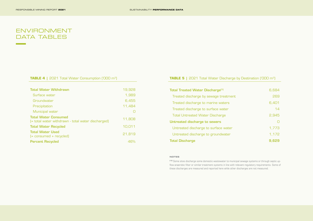# ENVIRONMENT DATA TABLES

**Contract Contract** 

#### **TABLE 4** | 2021 Total Water Consumption ('000 m<sup>3</sup>)

| <b>Total Water Withdrawn</b>                                                      | 19,928 |
|-----------------------------------------------------------------------------------|--------|
| Surface water                                                                     | 1,989  |
| Groundwater                                                                       | 6,455  |
| Precipitation                                                                     | 11,484 |
| Municipal water                                                                   |        |
| <b>Total Water Consumed</b><br>(= total water withdrawn - total water discharged) | 11,808 |
| <b>Total Water Recycled</b>                                                       | 10,011 |
| <b>Total Water Used</b><br>$[=$ consumed + recycled)                              | 21,819 |
| <b>Percent Recycled</b>                                                           | 46%    |

#### **TABLE 5** | 2021 Total Water Discharge by Destination ('000 m<sup>3</sup>)

| <b>Total Treated Water Discharge<sup>[1]</sup></b> | 6,684 |
|----------------------------------------------------|-------|
| Treated discharge by sewage treatment              | 269   |
| Treated discharge to marine waters                 | 6,401 |
| Treated discharge to surface water                 | 14    |
| <b>Total Untreated Water Discharge</b>             | 2,945 |
| Untreated discharge to sewers                      | O     |
| Untreated discharge to surface water               | 1,773 |
| Untreated discharge to groundwater                 | 1,172 |
| <b>Total Discharge</b>                             | 9.629 |

#### **NOTES**

**[1]** Some sites discharge some domestic wastewater to municipal sewage systems or through septic upflow anaerobic filter or similar treatment systems in line with relevant regulatory requirements. Some of these discharges are measured and reported here while other discharges are not measured.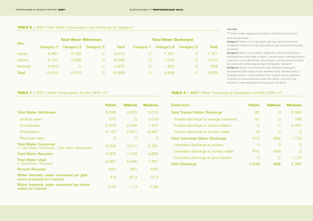#### **TABLE 6** | 2021 Total Water Consumption and Discharge by Category<sup>[1]</sup>

|                |            | <b>Total Water Withdrawn</b> |                   |              |            | <b>Total Water Discharged</b> |                   |       |  |
|----------------|------------|------------------------------|-------------------|--------------|------------|-------------------------------|-------------------|-------|--|
| <b>Site</b>    | Category 1 | <b>Category 2</b>            | <b>Category 3</b> | <b>Total</b> | Category 1 | <b>Category 2</b>             | <b>Category 3</b> | Total |  |
| Fekola         | 6.887      | 2.126                        |                   | 9.013        |            | 7.761                         |                   | 7,761 |  |
| Otjikoto       | 2.157      | 3.889                        |                   | 6.046        |            | 1.010                         |                   | 1,010 |  |
| <b>Masbate</b> | 4.870      |                              |                   | 4.870        |            | 859                           |                   | 859   |  |
| <b>Total</b>   | 13.913     | 6.015                        |                   | 19,928       |            | 9.629                         |                   | 9,629 |  |

#### **NOTES**

**[1]** Water quality categories are based on the Minerals Council of Australia definitions:

**Category 1:** Water is of a high quality and may require minimal and inexpensive treatment to raise the quality to appropriate drinking water standards.

**Category 2:** Water is of a medium quality with individual constituents encompassing a wide range of values. It would require moderate levels of treatment such as disinfection, neutralization, and the removal of solids and chemicals to meet appropriate drinking water standards. **Category 3:** Water is of a low quality with individual constituents encompassing high values of total dissolved solids, elevated levels of dissolved metals or extreme levels of pH. It would require significant treatment to remove dissolved solids and metals, neutralize, and disinfect to meet appropriate drinking water standards.

## **TABLE 7** | 2021 Water Consumption by Site ('000 m<sup>3</sup>)

|                                                                                   | <b>Fekola</b> | <b>Otjikoto</b> | <b>Masbate</b> |
|-----------------------------------------------------------------------------------|---------------|-----------------|----------------|
| <b>Total Water Withdrawn</b>                                                      | 6,046         | 4.870           | 9,013          |
| Surface water                                                                     | 970           | ∩               | 1.019          |
| Groundwater                                                                       | 2.919         | 2.429           | 1.107          |
| Precipitation                                                                     | 2,157         | 2,441           | 6,887          |
| Municipal water                                                                   | O             | Ω               | $\Box$         |
| <b>Total Water Consumed</b><br>[= Total Water Withdrawn - Total Water Discharged] | 5,036         | 4,011           | 2,761          |
| <b>Total Water Recycled</b>                                                       | 3,925         | 1.419           | 4.666          |
| <b>Total Water Used</b><br>(= Consumed + Recycled)                                | 8.961         | 5.430           | 7.427          |
| <b>Percent Recycled</b>                                                           | 44%           | 26%             | 63%            |
| Water Intensity: water consumed per gold<br>ounce produced $(m^3/$ ounce)         | 8.9           | 20.3            | 12.4           |
| Water Intensity: water consumed per tonne<br>milled $(m^3$ /tonne)                | 0.55          | 1.13            | 0.36           |

#### **TABLE 8 | 2021** Water Discharge by Destination and Site ('000 m<sup>3</sup>)

| <b>Destination</b>                     | <b>Fekola</b> | <b>Otiikoto</b> | <b>Masbate</b> |
|----------------------------------------|---------------|-----------------|----------------|
| <b>Total Treated Water Discharge</b>   | 95            |                 | 6.589          |
| Treated discharge by sewage treatment  | 81            | ∩               | 188            |
| Treated discharge to marine waters     | O             | ∩               | 6.401          |
| Treated discharge to surface water     | 14            | ∩               |                |
| <b>Total Untreated Water Discharge</b> | 915           | 859             | 1.172          |
| Untreated discharge to sewers          | ∩             | ┌               |                |
| Untreated discharge to surface water   | 915           | 859             |                |
| Untreated discharge to groundwater     | ∩             | ∩               | 1.172          |
| <b>Total Discharge</b>                 | 1.010         | 859             | 7.761          |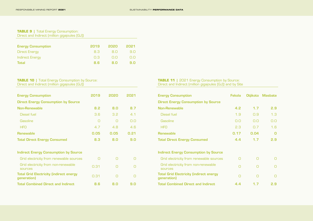## **TABLE 9** | Total Energy Consumption: Direct and Indirect (million gigajoules [GJ])

| <b>Energy Consumption</b> | 2019       | 2020 | 2021 |
|---------------------------|------------|------|------|
| Direct Energy             | <b>B.3</b> | 8 Q  | 9 O  |
| <b>Indirect Energy</b>    | D 3        | n n  | n n  |
| Total                     | 8 R        | 8 N  | 9 N  |

## **TABLE 10 |** Total Energy Consumption by Source:

Direct and Indirect (million gigajoules [GJ])

| <b>Energy Consumption</b>                                     | 2019   | 2020 | 2021 |
|---------------------------------------------------------------|--------|------|------|
| <b>Direct Energy Consumption by Source</b>                    |        |      |      |
| <b>Non-Renewable</b>                                          | 8.2    | 8.0  | 8.7  |
| Diesel fuel                                                   | 3.6    | 3.2  | 4.1  |
| Gasoline                                                      | $\Box$ | ∩    | 0.0  |
| <b>HFO</b>                                                    | 4.7    | 4.8  | 4.6  |
| <b>Renewable</b>                                              | 0.05   | 0.05 | 0.21 |
| <b>Total Direct Energy Consumed</b>                           | 8.3    | 8.0  | 9.0  |
| <b>Indirect Energy Consumption by Source</b>                  |        |      |      |
| Grid electricity from renewable sources                       | Π      | ∩    |      |
| Grid electricity from non-renewable<br>sources                | 0.31   |      |      |
| <b>Total Grid Electricity (indirect energy</b><br>generation) | 0.31   |      |      |
| <b>Total Combined Direct and Indirect</b>                     | 8.6    | 8.0  | 9.0  |

#### **TABLE 11 |** 2021 Energy Consumption by Source: Direct and Indirect (million gigajoules [GJ]) and by Site

| <b>Energy Consumption</b>                                     | Fekola |      | Otjikoto Masbate |
|---------------------------------------------------------------|--------|------|------------------|
| <b>Direct Energy Consumption by Source</b>                    |        |      |                  |
| <b>Non-Renewable</b>                                          | 4.2    | 1.7  | 2.9              |
| Diesel fuel                                                   | 1.9    | 0.9  | 1.3              |
| Gasoline                                                      | 0.0    | 0.0  | 0.0              |
| <b>HFO</b>                                                    | 2.3    | 0.7  | 1.6              |
| Renewable                                                     | 0.17   | 0.04 | 0                |
| <b>Total Direct Energy Consumed</b>                           | 4.4    | 1.7  | 2.9              |
| <b>Indirect Energy Consumption by Source</b>                  |        |      |                  |
| Grid electricity from renewable sources                       | ∩      | ∩    |                  |
| Grid electricity from non-renewable<br>sources                | ∩      |      |                  |
| <b>Total Grid Electricity (indirect energy</b><br>generation) | ∩      | ∩    | ∩                |
| Total Combined Direct and Indirect                            | 4.4    | 1.7  | 2.9              |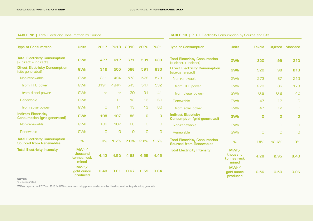## **TABLE 12** | Total Electricity Consumption by Source

## **TABLE 13** | 2021 Electricity Consumption by Source and Site

| <b>Type of Consumption</b>                                             | <b>Units</b>                             | 2017           | 2018           | 2019   | 2020        | 2021           | <b>Type of Consumption</b>                                             | <b>Units</b>                             | <b>Fekola</b> |          | Otjikoto Masbate                       |
|------------------------------------------------------------------------|------------------------------------------|----------------|----------------|--------|-------------|----------------|------------------------------------------------------------------------|------------------------------------------|---------------|----------|----------------------------------------|
|                                                                        |                                          |                |                |        |             |                |                                                                        |                                          |               |          |                                        |
| <b>Total Electricity Consumption</b><br>$[$ = direct + indirect]       | <b>GWh</b>                               | 427            | 612            | 671    | 591         | 633            | <b>Total Electricity Consumption</b><br>$[$ = direct + indirect]       | <b>GWh</b>                               | 320           | 99       | 213                                    |
| <b>Direct Electricity Consumption</b><br>(site-generated)              | <b>GWh</b>                               | 319            | 505            | 586    | 591         | 633            | <b>Direct Electricity Consumption</b><br>(site-generated)              | <b>GWh</b>                               | 320           | 99       | 213                                    |
| Non-renewable                                                          | <b>GWh</b>                               | 319            | 494            | 573    | 578         | 573            | Non-renewable                                                          | <b>GWh</b>                               | 273           | 87       | 213                                    |
| from HFO power                                                         | <b>GWh</b>                               | 319[1]         | 494[1]         | 543    | 547         | 532            | from HFO power                                                         | <b>GWh</b>                               | 273           | 86       | 173                                    |
| from diesel power                                                      | <b>GWh</b>                               | n <sub>r</sub> | n <sub>r</sub> | 30     | 31          | 41             | from diesel power                                                      | <b>GWh</b>                               | 0.2           | 0.2      | 40                                     |
| Renewable                                                              | <b>GWh</b>                               | O              | 11             | 13     | 13          | 60             | Renewable                                                              | <b>GWh</b>                               | 47            | 12       | $\begin{array}{c} \square \end{array}$ |
| from solar power                                                       | <b>GWh</b>                               | $\cup$         | 11             | 13     | 13          | 60             | from solar power                                                       | <b>GWh</b>                               | 47            | 12       | $\Box$                                 |
| <b>Indirect Electricity</b><br><b>Consumption (grid-generated)</b>     | <b>GWh</b>                               | 108            | 107            | 86     | $\mathbf 0$ | $\overline{O}$ | <b>Indirect Electricity</b><br><b>Consumption (grid-generated)</b>     | <b>GWh</b>                               | $\mathbf 0$   | $\Omega$ | $\mathbf 0$                            |
| Non-renewable                                                          | <b>GWh</b>                               | 108            | 107            | 86     | O           | $\cup$         | Non-renewable                                                          | <b>GWh</b>                               | $\bigcirc$    | $\cup$   | $\bigcirc$                             |
| Renewable                                                              | <b>GWh</b>                               | $\Box$         | $\Box$         | $\cup$ | $\cup$      | $\cup$         | Renewable                                                              | <b>GWh</b>                               | $\cup$        | $\cup$   | $\cup$                                 |
| <b>Total Electricity Consumption</b><br><b>Sourced from Renewables</b> | $\%$                                     | O%             | 1.7%           | 2.0%   | 2.2%        | 9.5%           | <b>Total Electricity Consumption</b><br><b>Sourced from Renewables</b> | $\frac{9}{6}$                            | 15%           | 12.6%    | 0%                                     |
| <b>Total Electricity Intensity</b>                                     | MWh/<br>thousand<br>tonnes rock<br>mined | 4.42           | 4.52           | 4.88   | 4.55        | 4.45           | <b>Total Electricity Intensity</b>                                     | MWh/<br>thousand<br>tonnes rock<br>mined | 4.26          | 2.95     | 6.40                                   |
|                                                                        | MWh/<br>gold ounce<br>produced           | 0.43           | 0.61           | 0.67   | 0.59        | 0.64           |                                                                        | MWh/<br>gold ounce<br>produced           | 0.56          | 0.50     | 0.96                                   |

**NOTES**

nr = not reported

**[1]** Data reported for 2017 and 2018 for HFO-sourced electricity generation also includes diesel-sourced back-up electricity generation.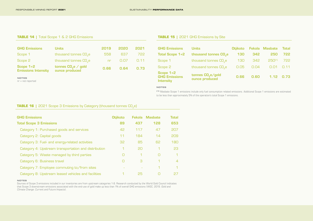#### **TABLE 14 |** Total Scope 1 & 2 GHG Emissions

| <b>GHG Emissions</b>                      | <b>Units</b>                          | 2019 | 2020 | 2021 |
|-------------------------------------------|---------------------------------------|------|------|------|
| Scope 1                                   | thousand tonnes CO <sub>2</sub> e     | 558  | 637  | 722. |
| Scope 2                                   | thousand tonnes CO <sub>2</sub> e     | nr   | 0.07 | 0.11 |
| Scope $1+2$<br><b>Emissions Intensity</b> | tonnes $COe$ / gold<br>ounce produced | 0.66 | 0.64 | 0.73 |

#### **NOTES**

nr = not reported

#### **TABLE 15** | 2021 GHG Emissions by Site

| <b>GHG Emissions</b>                             | <b>Units</b>                                    | Otiikoto |      | Fekola Masbate | <b>Total</b> |
|--------------------------------------------------|-------------------------------------------------|----------|------|----------------|--------------|
| Total Scope 1+2                                  | thousand tonnes CO <sub>2</sub> e               | 130      | 342  | 250            | 722          |
| Scope 1                                          | thousand tonnes CO <sub>2</sub> e               | 130      | 342  | $250^{[1]}$    | 722          |
| Scope 2                                          | thousand tonnes CO <sub>2</sub> e               | 0.05     | 0.04 | 0.01           | 0.11         |
| Scope $1+2$<br><b>GHG Emissions</b><br>Intensity | tonnes CO <sub>2</sub> e/gold<br>ounce produced | 0.66     | 0.60 | $1.12$ 0.73    |              |

#### **NOTES**

**[1]** Masbate Scope 1 emissions include only fuel consumption related emissions. Additional Scope 1 emissions are estimated to be less than approximately 5% of the operation's total Scope 1 emissions.

#### **TABLE 16** | 2021 Scope 3 Emissions by Category (thousand tonnes CO<sub>2</sub>e)

| <b>GHG Emissions</b>                                 | <b>Otjikoto</b> | Fekola    | <b>Masbate</b> | <b>Total</b>             |
|------------------------------------------------------|-----------------|-----------|----------------|--------------------------|
| <b>Total Scope 3 Emissions</b>                       | 89              | 437       | 128            | 653                      |
| Category 1: Purchased goods and services             | 42              | 117       | 47             | 207                      |
| Category 2: Capital goods                            | 11              | 184       | 14             | 209                      |
| Category 3: Fuel- and energy-related activities      | 32              | 85        | 62             | 180                      |
| Category 4: Upstream transportation and distribution | 1               | <b>PO</b> |                | 23                       |
| Category 5: Waste managed by third parties           | $\Box$          | 1         | ∩              | 1                        |
| Category 6: Business travel                          | O               | 3         |                | $\overline{\mathcal{A}}$ |
| Category 7: Employee commuting to/from sites         |                 |           | 1              | 1                        |
| Category 8: Upstream leased vehicles and facilities  | 1               | 25        | ∩              | 27                       |

#### **NOTES**

Sources of Scope 3 emissions included in our inventories are from upstream categories 1-8. Research conducted by the World Gold Council indicates that Scope 3 downstream emissions associated with the end-use of gold make up less than 1% of overall GHG emissions (WGC. 2019. Gold and Climate Change: Current and Future Impacts).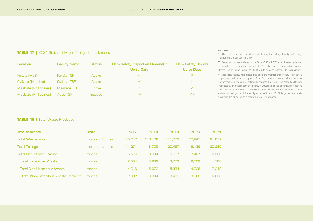#### **TABLE 17** | 2021 Status of Major Tailings Embankments

| Location              | <b>Facility Name</b> | <b>Status</b>   | Dam Safety Inspection (Annual) <sup>(1)</sup><br>Up to Date | <b>Dam Safety Review</b><br>Up to Date |
|-----------------------|----------------------|-----------------|-------------------------------------------------------------|----------------------------------------|
| Fekola (Mali)         | Fekola TSF           | Active          | ✓                                                           | [2]                                    |
| Otjikoto (Namibia)    | Otjikoto TSF         | Active          | $\checkmark$                                                | ✓                                      |
| Masbate (Philippines) | Masbate TSF          | Active          | $\checkmark$                                                | $\checkmark$                           |
| Masbate (Philippines) | <b>Atlas TSF</b>     | <b>Inactive</b> | [3]                                                         | $\sqrt{3}$                             |

#### **NOTES**

**[1]** The EoR performs a detailed inspection of the tailings facility and tailings management practices annually.

**[2]** Construction was initiated on the Fekola TSF in 2017; a third-party review will be scheduled for completion prior to 2022, in line with the Australian National Committee on Large Dams (ANCOLD) guidelines and internal B2Gold policies.

**[3]** The Atlas facility was placed into care and maintenance in 1994. Historical inspections and technical reports of the facility exist; however, these were not performed to current internationally-accepted criteria. The Atlas facility was inspected by an independent third party in 2020 and a detailed review of historical documents was performed. This review resulted in recommendations to perform an in-situ investigation of the facility, scheduled for Q1 2021, to gather up-to-date data with the objective to classify the facility as Closed.

#### **TABLE 18 | Total Waste Produced**

| <b>Type of Waste</b>               | <b>Units</b>    | 2017   | 2018    | 2019    | 2020    | 2021    |
|------------------------------------|-----------------|--------|---------|---------|---------|---------|
| <b>Total Waste Rock</b>            | thousand tonnes | 75.047 | 110.178 | 111.773 | 107.947 | 121,672 |
| Total Tailings                     | thousand tonnes | 14.271 | 18.705  | 20.467  | 18.139  | 20,285  |
| <b>Total Non-Mineral Waste</b>     | tonnes          | 6.570  | 8.934   | 9.087   | 7.437   | 9,036   |
| <b>Total Hazardous Waste</b>       | tonnes          | 2.554  | 3.262   | 3.753   | 2.509   | 1.788   |
| <b>Total Non-Hazardous Waste</b>   | tonnes          | 4.016  | 5.672   | 5.334   | 4.928   | 7.248   |
| Total Non-Hazardous Waste Recycled | tonnes          | 2.932  | 3.834   | 3.430   | 3.368   | 5,603   |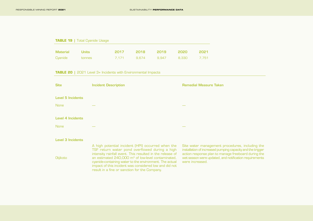#### **TABLE 19 | Total Cyanide Usage**

| Material Units |                       |  | 2017 2018 2019 2020 2021      |  |
|----------------|-----------------------|--|-------------------------------|--|
|                | <b>Cyanide tonnes</b> |  | 7.171 9.674 9.947 8.330 7.751 |  |

#### **TABLE 20 |** 2021 Level 3+ Incidents with Environmental Impacts

| <b>Site</b>              | <b>Incident Description</b> | <b>Remedial Measure Taken</b> |
|--------------------------|-----------------------------|-------------------------------|
| <b>Level 5 Incidents</b> |                             |                               |
| None                     | $\overline{\phantom{a}}$    | $\overline{\phantom{a}}$      |
| <b>Level 4 Incidents</b> |                             |                               |
| None                     | $\overline{\phantom{a}}$    | $\overline{\phantom{a}}$      |
|                          |                             |                               |

#### Level 3 Incidents

**Otjikoto** 

A high potential incident (HPI) occurred when the TSF return water pond overflowed during a high intensity rainfall event. This resulted in the release of an estimated 240,000 m<sup>3</sup> of low-level contaminated, cyanide-containing water to the environment. The actual impact of this incident was considered low and did not result in a fine or sanction for the Company.

Site water management procedures, including the installation of increased pumping capacity and the trigger action response plan to manage freeboard during the wet season were updated, and notification requirements were increased.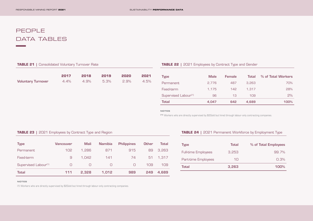# PEOPLE DATA TABLES

#### **TABLE 21 | Consolidated Voluntary Turnover Rate**

|                           | 2017 |                          | 2018 2019 2020 | 2021 |
|---------------------------|------|--------------------------|----------------|------|
| <b>Voluntary Turnover</b> |      | 4.4% 4.9% 5.3% 2.9% 4.5% |                |      |

## **TABLE 22 | 2021 Employees by Contract Type and Gender**

| <b>Type</b>                      | <b>Male</b> | <b>Female</b> | Total            | % of Total Workers |
|----------------------------------|-------------|---------------|------------------|--------------------|
| Permanent                        | 2.776       | 487           | 3.263            | 70%                |
| Fixed-term                       | 1.175       | 142           | 1.317            | 28%                |
| Supervised Labour <sup>[1]</sup> | 96          | 13            | 1 <sub>0.9</sub> | $P\%$              |
| <b>Total</b>                     | 4.047       | 642           | 4.689            | 100%               |

**NOTES**

**[1]** Workers who are directly supervised by B2Gold but hired through labour-only contracting companies.

## **TABLE 23** | 2021 Employees by Contract Type and Region

| <b>Type</b>                      | Vancouver        | Mali  | <b>Namibia</b> | <b>Philippines</b> | <b>Other</b>     | Total    |
|----------------------------------|------------------|-------|----------------|--------------------|------------------|----------|
| <b>Permanent</b>                 | 102 <sup>1</sup> | 1.286 | 871            | 915                | 89               | 3,263    |
| Fixed-term                       | 9                | 1.042 | 141            | 74                 |                  | 51 1.317 |
| Supervised Labour <sup>(1)</sup> | ∩                | n     | n.             | ∩                  | 1 <sub>0</sub> 9 | 109      |
| <b>Total</b>                     | 111              | 2.328 | 1.012          | 989                | 249              | 4.689    |

#### **NOTES**

(1) Workers who are directly supervised by B2Gold but hired through labour-only contracting companies.

## **TABLE 24 | 2021 Permanent Workforce by Employment Type**

| <b>Type</b>                | Total | % of Total Employees |
|----------------------------|-------|----------------------|
| <b>Full-time Employees</b> | 3.253 | 99.7%                |
| Part-time Employees        | 1∩    | $\cap$ 3%            |
| Total                      | 3,263 | 100%                 |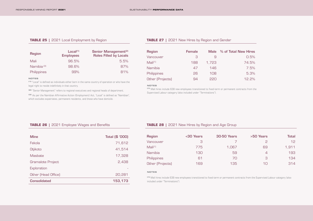## **TABLE 25** | 2021 Local Employment by Region

| Region                 | Local <sup>[1]</sup><br><b>Employees</b> | Senior Management <sup>(2)</sup><br><b>Roles Filled by Locals</b> |
|------------------------|------------------------------------------|-------------------------------------------------------------------|
| Mali                   | 96.5%                                    | 5.5%                                                              |
| Namibia <sup>(3)</sup> | 98.6%                                    | 87%                                                               |
| Philippines            | 99%                                      | 81%                                                               |

#### **NOTES**

**(1)** "Local" is defined as individuals either born in the same country of operation or who have the legal right to reside indefinitely in that country.

**(2)** "Senior Management" refers to regional executives and regional heads of department.

**(3)** As per the Namibian Affirmative Action (Employment) Act, "Local" is defined as "Namibian", which excludes expatriates, permanent residents, and those who have domicile.

#### **TABLE 27 |** 2021 New Hires by Region and Gender

| Region              | <b>Female</b> | <b>Male</b>    | % of Total New Hires |
|---------------------|---------------|----------------|----------------------|
| Vancouver           | З             |                | 0.5%                 |
| Mali <sup>[1]</sup> | 188           | 1.723          | 74.5%                |
| Namibia             | 47            | 146            | 7.5%                 |
| Philippines         | 26            | 1 <sub>0</sub> | 5.3%                 |
| Other (Projects)    | 94            | OSS            | 12.2%                |

#### **NOTES**

**[1]** Mali hires include 638 new employees transitioned to fixed-term or permanent contracts from the Supervised Labour category (also included under "Terminations").

## **TABLE 26 |** 2021 Employee Wages and Benefits

| <b>Mine</b>         | Total (\$ '000) |
|---------------------|-----------------|
| Fekola              | 71,612          |
| Otjikoto            | 41,514          |
| <b>Masbate</b>      | 17,328          |
| Gramalote Project   | 2,438           |
| Exploration         |                 |
| Other (Head Office) | 20,281          |
| <b>Consolidated</b> | 153,173         |

#### **TABLE 28 | 2021 New Hires by Region and Age Group**

| <b>Region</b>       | <30 Years | <b>30-50 Years</b> | >50 Years | Total |
|---------------------|-----------|--------------------|-----------|-------|
| Vancouver           | З         |                    | P         | 12    |
| Mali <sup>[1]</sup> | 775       | 1.067              | 69        | 1.911 |
| Namibia             | 130       | 59                 | 4         | 193   |
| <b>Philippines</b>  | 61        | 70                 | З         | 134   |
| Other (Projects)    | 169       | 135                | 1∩        | 314   |

#### **NOTES**

**[1]** Mali hires include 638 new employees transitioned to fixed-term or permanent contracts from the Supervised Labour category (also included under "Terminations").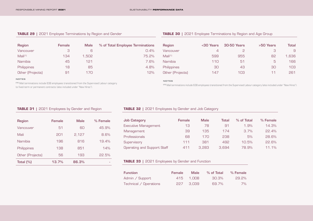#### **TABLE 29 |** 2021 Employee Terminations by Region and Gender

| <b>Region</b>       | <b>Female</b> | <b>Male</b> | % of Total Employee Terminations |
|---------------------|---------------|-------------|----------------------------------|
| Vancouver           | З             | 6           | 0.4%                             |
| Mali <sup>(1)</sup> | 134           | 1.502       | 75.2%                            |
| Namibia             | 45            | 121         | 7.6%                             |
| <b>Philippines</b>  | 18            | 85          | 4.8%                             |
| Other (Projects)    | 91            | 17N         | 12%                              |

#### **NOTES**

**[1]** Mali terminations include 638 employees transitioned from the Supervised Labour category to fixed-term or permanent contracts (also included under "New Hires").

#### **TABLE 30 | 2021 Employee Terminations by Region and Age Group**

| <b>Region</b>       | <30 Years       | <b>30-50 Years</b> | >50 Years | Total |
|---------------------|-----------------|--------------------|-----------|-------|
| Vancouver           | 4               | P                  | З         | Ч     |
| Mali <sup>(1)</sup> | 599             | 955                | 82        | 1,636 |
| Namibia             | 11 <sub>0</sub> | 51                 | 5         | 166   |
| Philippines         | 30              | 43                 | 30        | 103   |
| Other (Projects)    | 147             | 103                | 11        | 261   |

#### **NOTES**

**(1)** Mali terminations include 638 employees transitioned from the Supervised Labour category (also included under "New Hires").

#### **TABLE 31** | 2021 Employees by Gender and Region

| <b>Region</b>    | <b>Female</b> | Male  | % Female |
|------------------|---------------|-------|----------|
| Vancouver        | 51            | 60    | 45.9%    |
| Mali             | 201           | 2,127 | 8.6%     |
| Namibia          | 196           | 816   | 19.4%    |
| Philippines      | 138           | 851   | 14%      |
| Other (Projects) | 56            | 193   | 22.5%    |
| Total $(\%)$     | 13.7%         | 86.3% |          |

#### **TABLE 32** | 2021 Employees by Gender and Job Category

| <b>Job Category</b>         | <b>Female</b> | <b>Male</b>     | Total | % of Total | % Female |
|-----------------------------|---------------|-----------------|-------|------------|----------|
| <b>Executive Management</b> | 13            | 78              | 91    | 1.9%       | 14.3%    |
| Management                  | 39            | 135             | 174   | 3.7%       | 22.4%    |
| Professionals               | 68            | 17 <sub>0</sub> | 238   | 5%         | 28.6%    |
| Supervisory                 | 111           | 381             | 492   | 10.5%      | 22.6%    |
| Operating and Support Staff | 411           | 3.283           | 3.694 | 78.9%      | 11.1%    |

#### **TABLE 33 | 2021 Employees by Gender and Function**

| <b>Function</b>        | <b>Female</b> | <b>Male</b> | % of Total | % Female |
|------------------------|---------------|-------------|------------|----------|
| Admin / Support        |               | 415 1.008   | 30.3%      | 29.2%    |
| Technical / Operations |               | 227 3.039   | 69.7%      | 7%       |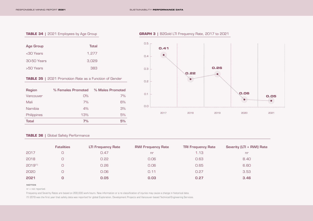#### **TABLE 34** | 2021 Employees by Age Group

| <b>Age Group</b> | <b>Total</b> |
|------------------|--------------|
| <30 Years        | 1,277        |
| 30-50 Years      | 3,029        |
| >50 Years        | 383          |

## **TABLE 35** | 2021 Promotion Rate as a Function of Gender

| <b>Region</b> | % Females Promoted | % Males Promoted |
|---------------|--------------------|------------------|
| Vancouver     | O%                 | 7%               |
| Mali          | 7%                 | 6%               |
| Namibia       | 4%                 | 3%               |
| Philippines   | 13%                | 5%               |
| <b>Total</b>  | 7%                 | 5%               |

## $0.5$   $-$ **0.41**  $\bullet$  $0.4$ **0.26**  $0.3$  ... **0.22**  $\odot$  $\bullet$  $0.2 +$ **0.06**  $0.1 +$ **0.05**  $\odot$  $\odot$ 0.0 2017 2018 2019 2020 2021

## **TABLE 36 | Global Safety Performance**

|              | <b>Fatalities</b> | <b>LTI Frequency Rate</b> | <b>RWI Frequency Rate</b> | <b>TRI Frequency Rate</b> | Severity (LTI + RWI) Rate |
|--------------|-------------------|---------------------------|---------------------------|---------------------------|---------------------------|
| 2017         |                   | 0.47                      | n <sub>r</sub>            | 1.13                      | nr                        |
| 2018         |                   | 0.22                      | 0.06                      | 0.63                      | 8.40                      |
| $2019^{(1)}$ |                   | 0.26                      | 0.06                      | 0.65                      | 6.60                      |
| 2020         |                   | 0.06                      | 0.11                      | 0.27                      | 3.53                      |
| 2021         |                   | 0.05                      | 0.03                      | 0.27                      | 3.46                      |

#### **NOTES**

nr = not reported.

Frequency and Severity Rates are based on 200,000 work-hours. New information or a re-classification of injuries may cause a change in historical data.

(1) 2019 was the first year that safety data was reported for global Exploration, Development Projects and Vancouver-based Technical/Engineering Services.

#### **GRAPH 3 |** B2Gold LTI Frequency Rate, 2017 to 2021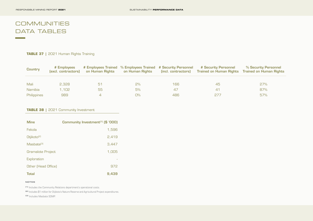# **COMMUNITIES** DATA TABLES

**Contract Contract** 

## **TABLE 37** | 2021 Human Rights Training

| <b>Country</b> | # Employees<br>(excl. contractors) | on Human Rights | # Employees Trained % Employees Trained # Security Personnel<br>on Human Rights | (incl. contractors) | # Security Personnel<br><b>Trained on Human Rights</b> | % Security Personnel<br><b>Trained on Human Rights</b> |
|----------------|------------------------------------|-----------------|---------------------------------------------------------------------------------|---------------------|--------------------------------------------------------|--------------------------------------------------------|
|                |                                    |                 |                                                                                 |                     |                                                        |                                                        |
| Mali           | 2.328                              | 51              | $2\%$                                                                           | 166.                | 45                                                     | 27%                                                    |
| <b>Namibia</b> | 1.102                              | 55              | 5%                                                                              | 47                  | 4 <sup>1</sup>                                         | 87%                                                    |
| Philippines    | 989                                |                 | О%                                                                              | 486                 | 277                                                    | 57%                                                    |

## **TABLE 38 | 2021 Community Investment**

| <b>Mine</b>             | Community Investment <sup>[1]</sup> (\$ '000) |
|-------------------------|-----------------------------------------------|
| Fekola                  | 1,596                                         |
| Otjikoto <sup>[2]</sup> | 2,419                                         |
| Masbate <sup>[3]</sup>  | 3,447                                         |
| Gramalote Project       | 1,005                                         |
| Exploration             |                                               |
| Other (Head Office)     | 972                                           |
| <b>Total</b>            | 9.439                                         |

#### **NOTES**

**[1]** Includes the Community Relations department's operational costs.

**[2]** Includes \$1 million for Otjikoto's Nature Reserve and Agricultural Project expenditures.

**[3]** Includes Masbate SDMP.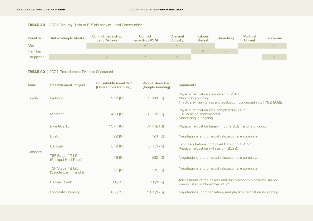## **TABLE 39 |** 2021 Security Risks to B2Gold and/or Local Communities

| <b>Country</b> | <b>Anti-mining Protests</b> | <b>Conflict regarding</b><br><b>Land Access</b> | <b>Conflict</b><br>regarding ASM | Criminal<br><b>Activity</b> | Labour<br><b>Unrest</b> | Poaching | <b>Political</b><br><b>Unrest</b> | <b>Terrorism</b> |
|----------------|-----------------------------|-------------------------------------------------|----------------------------------|-----------------------------|-------------------------|----------|-----------------------------------|------------------|
| Mali           |                             |                                                 |                                  |                             |                         |          |                                   |                  |
| Namibia        |                             |                                                 |                                  |                             |                         |          |                                   |                  |
| Philippines    |                             |                                                 |                                  |                             |                         |          |                                   |                  |

## **TABLE 40 |** 2021 Resettlement Process Conducted

| <b>Mine</b>    | <b>Resettlement Project</b>               | <b>Households Resettled</b><br>(Households Pending) | <b>People Resettled</b><br>(People Pending) | <b>Comments</b>                                                                                                                 |
|----------------|-------------------------------------------|-----------------------------------------------------|---------------------------------------------|---------------------------------------------------------------------------------------------------------------------------------|
| Fekola         | Fadougou                                  | 912(0)                                              | $3,241$ (0)                                 | Physical relocation completed in 2021.<br>Monitoring ongoing.<br>Third-party monitoring and evaluation conducted in Q1/Q2 2022. |
| <b>Masbate</b> | Montana                                   | 433 (O)                                             | $2,165$ (0)                                 | Physical relocation was completed in 2020.<br>LRP is being implemented.<br>Monitoring is ongoing.                               |
|                | <b>Blue Quartz</b>                        | 157 (40)                                            | 747 (213)                                   | Physical relocation began in June 2021 and is ongoing.                                                                          |
|                | <b>Boston</b>                             | 22(0)                                               | 121(0)                                      | Negotiations and physical relocation are complete.                                                                              |
|                | Old Lady                                  | O(240)                                              | O(1, 174)                                   | Land negotiations continued throughout 2021.<br>Physical relocation will start in 2022.                                         |
|                | TSF Stage 12 Lift<br>(Panique Haul Road)  | 79 <sub>(0)</sub>                                   | 262 <sub>(0)</sub>                          | Negotiations and physical relocation are complete.                                                                              |
|                | TSF Stage 12 Lift<br>(Saddle Dam 1 and 2) | 30(0)                                               | 133(0)                                      | Negotiations and physical relocation are complete.                                                                              |
|                | <b>Capsay Creek</b>                       | O(35)                                               | O(155)                                      | Assessment of the assets and socio-economic baseline survey<br>was initiated in November 2021.                                  |
|                | <b>Syndicate Crossing</b>                 | 26(39)                                              | 112 (175)                                   | Negotiations, compensation, and physical relocation is ongoing.                                                                 |